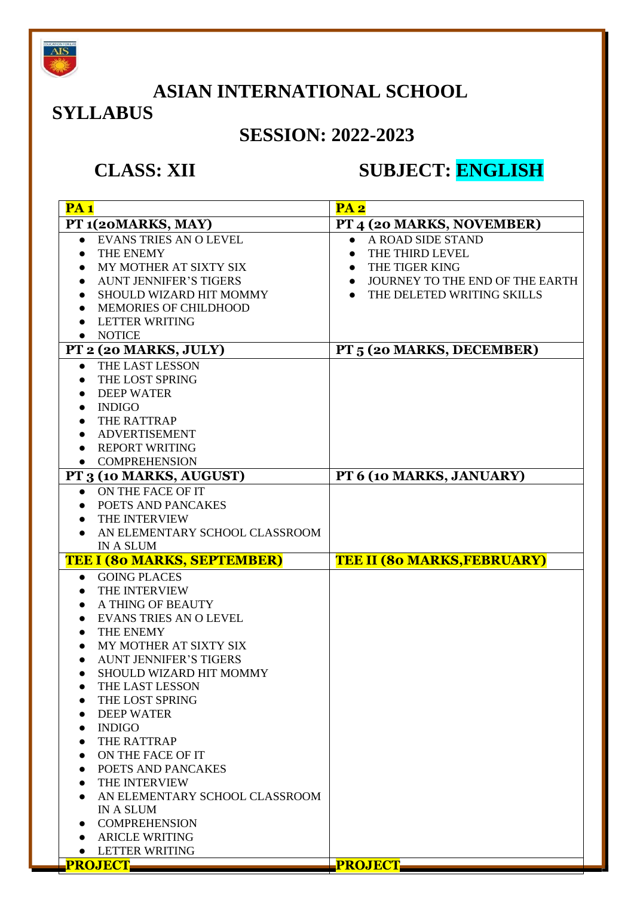

### **ASIAN INTERNATIONAL SCHOOL**

### **SYLLABUS**

### **SESSION: 2022-2023**

### **CLASS: XII SUBJECT: ENGLISH**

| PA1                                        | PA <sub>2</sub>                              |
|--------------------------------------------|----------------------------------------------|
| PT 1(20MARKS, MAY)                         | PT 4 (20 MARKS, NOVEMBER)                    |
| <b>EVANS TRIES AN O LEVEL</b><br>$\bullet$ | A ROAD SIDE STAND                            |
| THE ENEMY                                  | THE THIRD LEVEL                              |
| MY MOTHER AT SIXTY SIX<br>$\bullet$        | THE TIGER KING<br>$\bullet$                  |
| <b>AUNT JENNIFER'S TIGERS</b><br>$\bullet$ | JOURNEY TO THE END OF THE EARTH<br>$\bullet$ |
| SHOULD WIZARD HIT MOMMY                    | THE DELETED WRITING SKILLS                   |
| <b>MEMORIES OF CHILDHOOD</b><br>$\bullet$  |                                              |
| <b>LETTER WRITING</b>                      |                                              |
| <b>NOTICE</b><br>$\bullet$                 |                                              |
| PT 2 (20 MARKS, JULY)                      | PT 5 (20 MARKS, DECEMBER)                    |
| THE LAST LESSON<br>$\bullet$               |                                              |
| THE LOST SPRING                            |                                              |
| <b>DEEP WATER</b>                          |                                              |
| <b>INDIGO</b><br>$\bullet$                 |                                              |
| THE RATTRAP<br>$\bullet$                   |                                              |
| <b>ADVERTISEMENT</b><br>$\bullet$          |                                              |
| <b>REPORT WRITING</b>                      |                                              |
| • COMPREHENSION                            |                                              |
| PT 3 (10 MARKS, AUGUST)                    | PT 6 (10 MARKS, JANUARY)                     |
| ON THE FACE OF IT<br>$\bullet$             |                                              |
| POETS AND PANCAKES                         |                                              |
| THE INTERVIEW<br>$\bullet$                 |                                              |
| AN ELEMENTARY SCHOOL CLASSROOM             |                                              |
| <b>IN A SLUM</b>                           |                                              |
| <b>TEE I (80 MARKS, SEPTEMBER)</b>         | <b>TEE II (80 MARKS, FEBRUARY)</b>           |
| <b>GOING PLACES</b><br>$\bullet$           |                                              |
| THE INTERVIEW                              |                                              |
| A THING OF BEAUTY                          |                                              |
| <b>EVANS TRIES AN O LEVEL</b>              |                                              |
| THE ENEMY                                  |                                              |
| MY MOTHER AT SIXTY SIX                     |                                              |
| <b>AUNT JENNIFER'S TIGERS</b><br>$\bullet$ |                                              |
| SHOULD WIZARD HIT MOMMY<br>$\bullet$       |                                              |
| THE LAST LESSON<br>THE LOST SPRING         |                                              |
| <b>DEEP WATER</b>                          |                                              |
| <b>INDIGO</b>                              |                                              |
| THE RATTRAP                                |                                              |
| ON THE FACE OF IT                          |                                              |
| POETS AND PANCAKES                         |                                              |
| THE INTERVIEW                              |                                              |
| AN ELEMENTARY SCHOOL CLASSROOM             |                                              |
| <b>IN A SLUM</b>                           |                                              |
| <b>COMPREHENSION</b>                       |                                              |
| <b>ARICLE WRITING</b>                      |                                              |
| <b>LETTER WRITING</b><br>$\bullet$         |                                              |
| <b>EPROJECT</b>                            | <b>PROJECT</b>                               |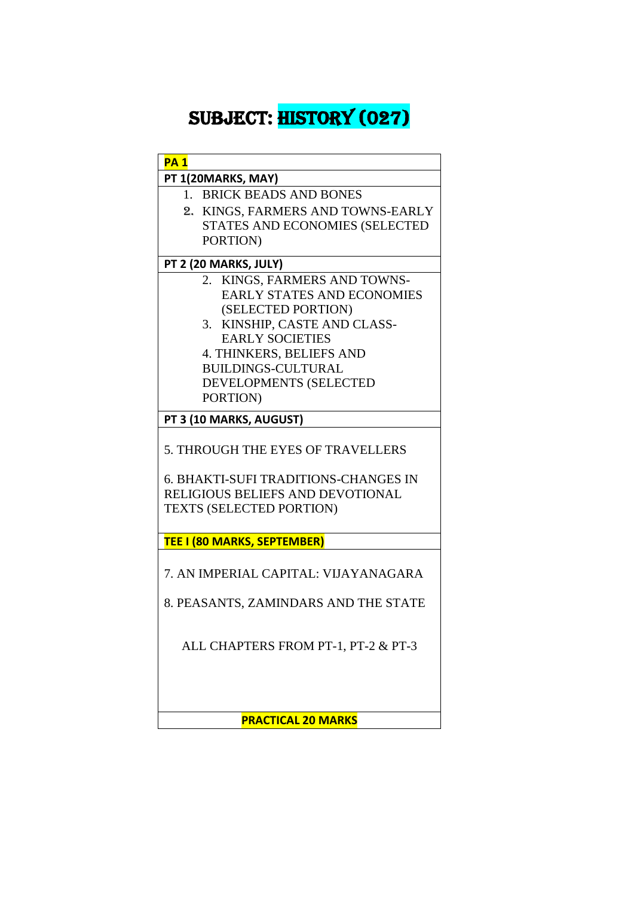# sUBJECT: HISTORY (027)

| <b>PA1</b>                                  |                                     |
|---------------------------------------------|-------------------------------------|
| PT 1(20MARKS, MAY)                          |                                     |
| 1. BRICK BEADS AND BONES                    |                                     |
|                                             | 2. KINGS, FARMERS AND TOWNS-EARLY   |
|                                             | STATES AND ECONOMIES (SELECTED      |
| PORTION)                                    |                                     |
| PT 2 (20 MARKS, JULY)                       |                                     |
|                                             | 2. KINGS, FARMERS AND TOWNS-        |
|                                             | <b>EARLY STATES AND ECONOMIES</b>   |
| (SELECTED PORTION)                          |                                     |
|                                             | 3. KINSHIP, CASTE AND CLASS-        |
| <b>EARLY SOCIETIES</b>                      |                                     |
| 4. THINKERS, BELIEFS AND                    |                                     |
| <b>BUILDINGS-CULTURAL</b>                   |                                     |
| DEVELOPMENTS (SELECTED                      |                                     |
| PORTION)                                    |                                     |
| PT 3 (10 MARKS, AUGUST)                     |                                     |
| 5. THROUGH THE EYES OF TRAVELLERS           |                                     |
| <b>6. BHAKTI-SUFI TRADITIONS-CHANGES IN</b> |                                     |
| RELIGIOUS BELIEFS AND DEVOTIONAL            |                                     |
| TEXTS (SELECTED PORTION)                    |                                     |
|                                             |                                     |
| <b>TEE I (80 MARKS, SEPTEMBER)</b>          |                                     |
| 7. AN IMPERIAL CAPITAL: VIJAYANAGARA        |                                     |
| 8. PEASANTS, ZAMINDARS AND THE STATE        |                                     |
|                                             | ALL CHAPTERS FROM PT-1, PT-2 & PT-3 |
|                                             |                                     |

**PRACTICAL 20 MARKS**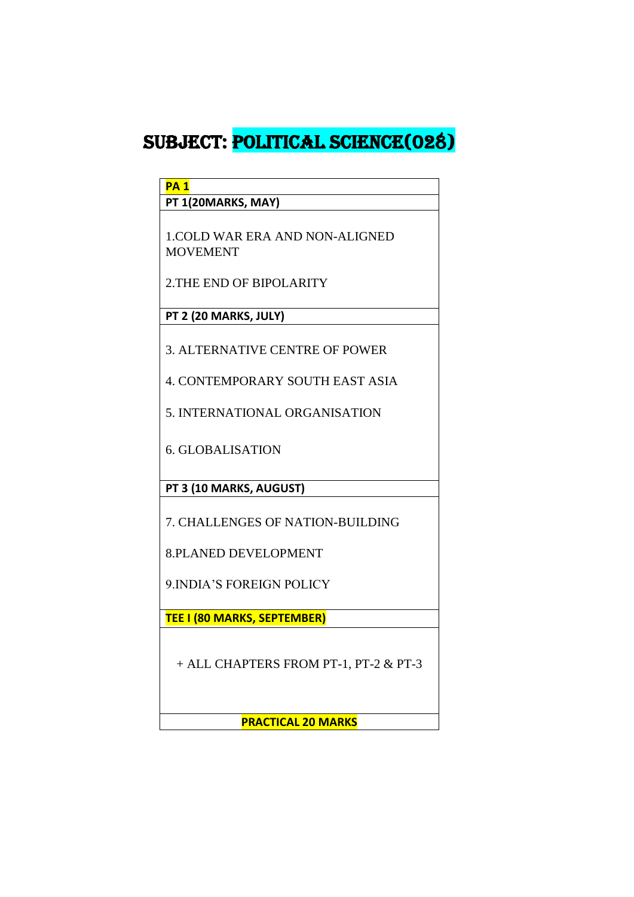### SUBJECT: POLITICAL SCIENCE(028)

**PA 1**

**PT 1(20MARKS, MAY)**

1.COLD WAR ERA AND NON-ALIGNED MOVEMENT

2.THE END OF BIPOLARITY

**PT 2 (20 MARKS, JULY)**

3. ALTERNATIVE CENTRE OF POWER

4. CONTEMPORARY SOUTH EAST ASIA

5. INTERNATIONAL ORGANISATION

6. GLOBALISATION

**PT 3 (10 MARKS, AUGUST)**

7. CHALLENGES OF NATION-BUILDING

8.PLANED DEVELOPMENT

9.INDIA'S FOREIGN POLICY

**TEE I (80 MARKS, SEPTEMBER)**

+ ALL CHAPTERS FROM PT-1, PT-2 & PT-3

**PRACTICAL 20 MARKS**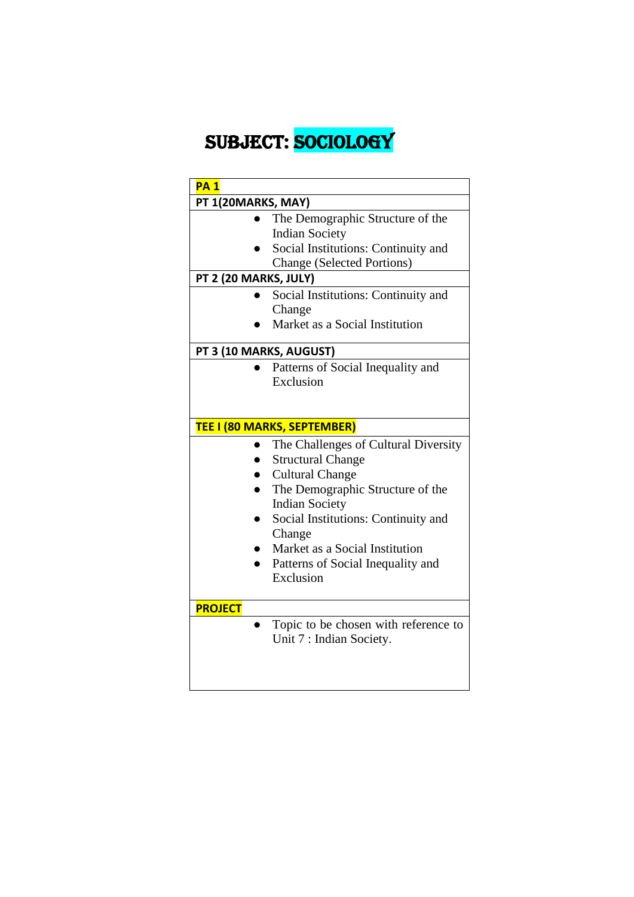# SUBJECT: SOCIOLOGY

| PT 1(20MARKS, MAY)<br>The Demographic Structure of the<br><b>Indian Society</b><br>Social Institutions: Continuity and<br><b>Change (Selected Portions)</b><br>PT 2 (20 MARKS, JULY)<br>Social Institutions: Continuity and<br>Change<br>Market as a Social Institution<br>PT 3 (10 MARKS, AUGUST)<br>Patterns of Social Inequality and<br>Exclusion<br>TEE I (80 MARKS, SEPTEMBER)<br>The Challenges of Cultural Diversity<br><b>Structural Change</b><br><b>Cultural Change</b><br>The Demographic Structure of the<br><b>Indian Society</b><br>Social Institutions: Continuity and<br>Change |
|-------------------------------------------------------------------------------------------------------------------------------------------------------------------------------------------------------------------------------------------------------------------------------------------------------------------------------------------------------------------------------------------------------------------------------------------------------------------------------------------------------------------------------------------------------------------------------------------------|
|                                                                                                                                                                                                                                                                                                                                                                                                                                                                                                                                                                                                 |
|                                                                                                                                                                                                                                                                                                                                                                                                                                                                                                                                                                                                 |
|                                                                                                                                                                                                                                                                                                                                                                                                                                                                                                                                                                                                 |
|                                                                                                                                                                                                                                                                                                                                                                                                                                                                                                                                                                                                 |
|                                                                                                                                                                                                                                                                                                                                                                                                                                                                                                                                                                                                 |
|                                                                                                                                                                                                                                                                                                                                                                                                                                                                                                                                                                                                 |
|                                                                                                                                                                                                                                                                                                                                                                                                                                                                                                                                                                                                 |
|                                                                                                                                                                                                                                                                                                                                                                                                                                                                                                                                                                                                 |
|                                                                                                                                                                                                                                                                                                                                                                                                                                                                                                                                                                                                 |
|                                                                                                                                                                                                                                                                                                                                                                                                                                                                                                                                                                                                 |
|                                                                                                                                                                                                                                                                                                                                                                                                                                                                                                                                                                                                 |
|                                                                                                                                                                                                                                                                                                                                                                                                                                                                                                                                                                                                 |
|                                                                                                                                                                                                                                                                                                                                                                                                                                                                                                                                                                                                 |
|                                                                                                                                                                                                                                                                                                                                                                                                                                                                                                                                                                                                 |
|                                                                                                                                                                                                                                                                                                                                                                                                                                                                                                                                                                                                 |
|                                                                                                                                                                                                                                                                                                                                                                                                                                                                                                                                                                                                 |
|                                                                                                                                                                                                                                                                                                                                                                                                                                                                                                                                                                                                 |
|                                                                                                                                                                                                                                                                                                                                                                                                                                                                                                                                                                                                 |
|                                                                                                                                                                                                                                                                                                                                                                                                                                                                                                                                                                                                 |
|                                                                                                                                                                                                                                                                                                                                                                                                                                                                                                                                                                                                 |
|                                                                                                                                                                                                                                                                                                                                                                                                                                                                                                                                                                                                 |
| Market as a Social Institution                                                                                                                                                                                                                                                                                                                                                                                                                                                                                                                                                                  |
| Patterns of Social Inequality and                                                                                                                                                                                                                                                                                                                                                                                                                                                                                                                                                               |
| Exclusion                                                                                                                                                                                                                                                                                                                                                                                                                                                                                                                                                                                       |
|                                                                                                                                                                                                                                                                                                                                                                                                                                                                                                                                                                                                 |
| <b>PROJECT</b>                                                                                                                                                                                                                                                                                                                                                                                                                                                                                                                                                                                  |
| Topic to be chosen with reference to                                                                                                                                                                                                                                                                                                                                                                                                                                                                                                                                                            |
| Unit 7 : Indian Society.                                                                                                                                                                                                                                                                                                                                                                                                                                                                                                                                                                        |
|                                                                                                                                                                                                                                                                                                                                                                                                                                                                                                                                                                                                 |
|                                                                                                                                                                                                                                                                                                                                                                                                                                                                                                                                                                                                 |
|                                                                                                                                                                                                                                                                                                                                                                                                                                                                                                                                                                                                 |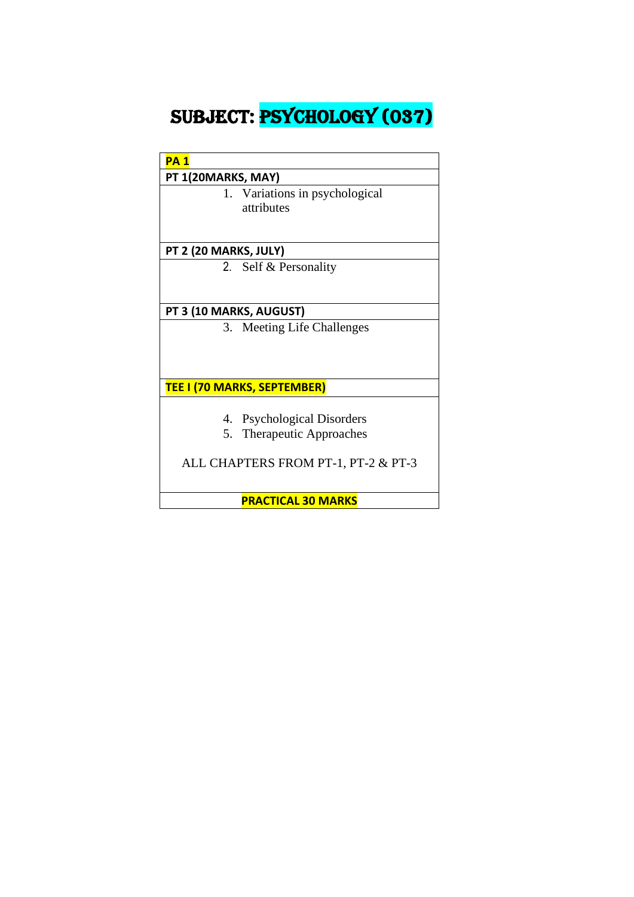# SUBJECT: PSYCHOLOGY (037)

| <b>PA1</b> |                    |
|------------|--------------------|
|            | PT 1(20MARKS, MAY) |

1. Variations in psychological attributes

#### **PT 2 (20 MARKS, JULY)**

2. Self & Personality

#### **PT 3 (10 MARKS, AUGUST)**

3. Meeting Life Challenges

#### **TEE I (70 MARKS, SEPTEMBER)**

- 4. Psychological Disorders
- 5. Therapeutic Approaches

ALL CHAPTERS FROM PT-1, PT-2 & PT-3

**PRACTICAL 30 MARKS**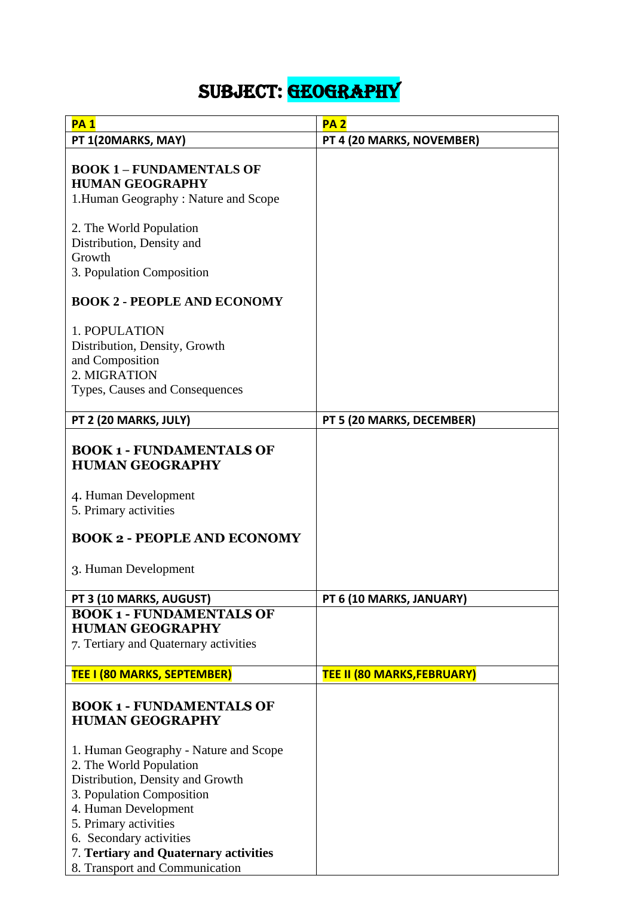# SUBJECT: GEOGRAPHY

| <b>PA1</b>                                                | PA <sub>2</sub>                    |
|-----------------------------------------------------------|------------------------------------|
| PT 1(20MARKS, MAY)                                        | PT 4 (20 MARKS, NOVEMBER)          |
|                                                           |                                    |
| <b>BOOK 1 - FUNDAMENTALS OF</b>                           |                                    |
| <b>HUMAN GEOGRAPHY</b>                                    |                                    |
| 1. Human Geography: Nature and Scope                      |                                    |
|                                                           |                                    |
| 2. The World Population                                   |                                    |
| Distribution, Density and<br>Growth                       |                                    |
|                                                           |                                    |
| 3. Population Composition                                 |                                    |
| <b>BOOK 2 - PEOPLE AND ECONOMY</b>                        |                                    |
| 1. POPULATION                                             |                                    |
| Distribution, Density, Growth                             |                                    |
| and Composition                                           |                                    |
| 2. MIGRATION                                              |                                    |
| Types, Causes and Consequences                            |                                    |
|                                                           |                                    |
| PT 2 (20 MARKS, JULY)                                     | PT 5 (20 MARKS, DECEMBER)          |
| <b>BOOK 1 - FUNDAMENTALS OF</b><br><b>HUMAN GEOGRAPHY</b> |                                    |
| 4. Human Development                                      |                                    |
| 5. Primary activities                                     |                                    |
| <b>BOOK 2 - PEOPLE AND ECONOMY</b>                        |                                    |
| 3. Human Development                                      |                                    |
| PT 3 (10 MARKS, AUGUST)                                   | PT 6 (10 MARKS, JANUARY)           |
| <b>BOOK 1 - FUNDAMENTALS OF</b>                           |                                    |
| <b>HUMAN GEOGRAPHY</b>                                    |                                    |
| 7. Tertiary and Quaternary activities                     |                                    |
|                                                           |                                    |
| <b>TEE I (80 MARKS, SEPTEMBER)</b>                        | <b>TEE II (80 MARKS, FEBRUARY)</b> |
| <b>BOOK 1 - FUNDAMENTALS OF</b><br><b>HUMAN GEOGRAPHY</b> |                                    |
| 1. Human Geography - Nature and Scope                     |                                    |
| 2. The World Population                                   |                                    |
| Distribution, Density and Growth                          |                                    |
| 3. Population Composition                                 |                                    |
| 4. Human Development                                      |                                    |
| 5. Primary activities                                     |                                    |
| 6. Secondary activities                                   |                                    |
| 7. Tertiary and Quaternary activities                     |                                    |
| 8. Transport and Communication                            |                                    |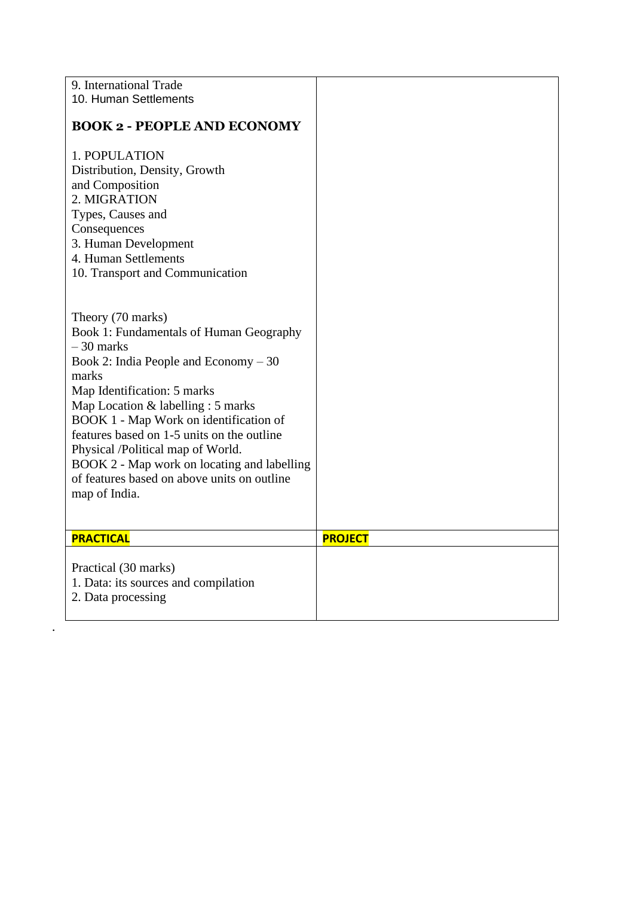| 9. International Trade<br>10. Human Settlements                                                                                                                                                                                                                                                                                                                                                                                                 |                |
|-------------------------------------------------------------------------------------------------------------------------------------------------------------------------------------------------------------------------------------------------------------------------------------------------------------------------------------------------------------------------------------------------------------------------------------------------|----------------|
| <b>BOOK 2 - PEOPLE AND ECONOMY</b>                                                                                                                                                                                                                                                                                                                                                                                                              |                |
| 1. POPULATION<br>Distribution, Density, Growth<br>and Composition<br>2. MIGRATION<br>Types, Causes and<br>Consequences<br>3. Human Development<br>4. Human Settlements<br>10. Transport and Communication                                                                                                                                                                                                                                       |                |
| Theory (70 marks)<br>Book 1: Fundamentals of Human Geography<br>$-30$ marks<br>Book 2: India People and Economy $-30$<br>marks<br>Map Identification: 5 marks<br>Map Location & labelling : 5 marks<br>BOOK 1 - Map Work on identification of<br>features based on 1-5 units on the outline<br>Physical /Political map of World.<br>BOOK 2 - Map work on locating and labelling<br>of features based on above units on outline<br>map of India. |                |
| <b>PRACTICAL</b>                                                                                                                                                                                                                                                                                                                                                                                                                                | <b>PROJECT</b> |
| Practical (30 marks)<br>1. Data: its sources and compilation<br>2. Data processing                                                                                                                                                                                                                                                                                                                                                              |                |

.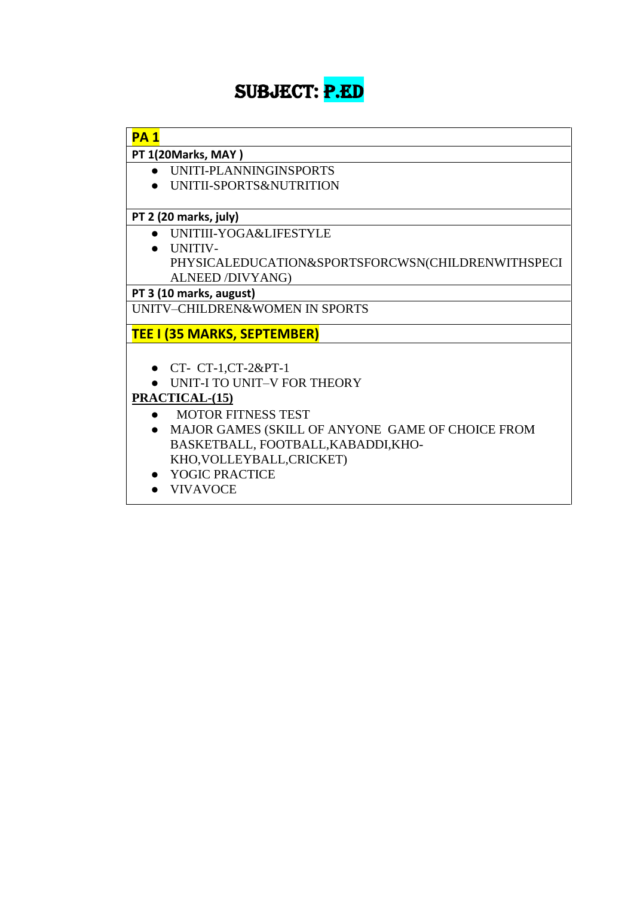# SUBJECT: P.ED

| <b>PA1</b> |                                                   |
|------------|---------------------------------------------------|
|            | PT 1(20Marks, MAY)                                |
|            | UNITI-PLANNINGINSPORTS                            |
|            | UNITII-SPORTS&NUTRITION                           |
|            | PT 2 (20 marks, july)                             |
|            | UNITIII-YOGA&LIFESTYLE                            |
|            | UNITIV-                                           |
|            | PHYSICALEDUCATION&SPORTSFORCWSN(CHILDRENWITHSPECI |
|            | ALNEED /DIVYANG)                                  |
|            | PT 3 (10 marks, august)                           |
|            | <b>UNITV-CHILDREN&amp;WOMEN IN SPORTS</b>         |
|            | <b>TEE I (35 MARKS, SEPTEMBER)</b>                |
|            |                                                   |
|            | • $CT - CT - 1, CT - 2\&PT - 1$                   |
|            | UNIT-I TO UNIT-V FOR THEORY                       |
|            | PRACTICAL-(15)                                    |
|            | <b>MOTOR FITNESS TEST</b>                         |
|            | MAJOR GAMES (SKILL OF ANYONE GAME OF CHOICE FROM  |
|            | BASKETBALL, FOOTBALL, KABADDI, KHO-               |
|            | KHO, VOLLEYBALL, CRICKET)                         |
|            | YOGIC PRACTICE                                    |
|            | <b>VIVAVOCE</b>                                   |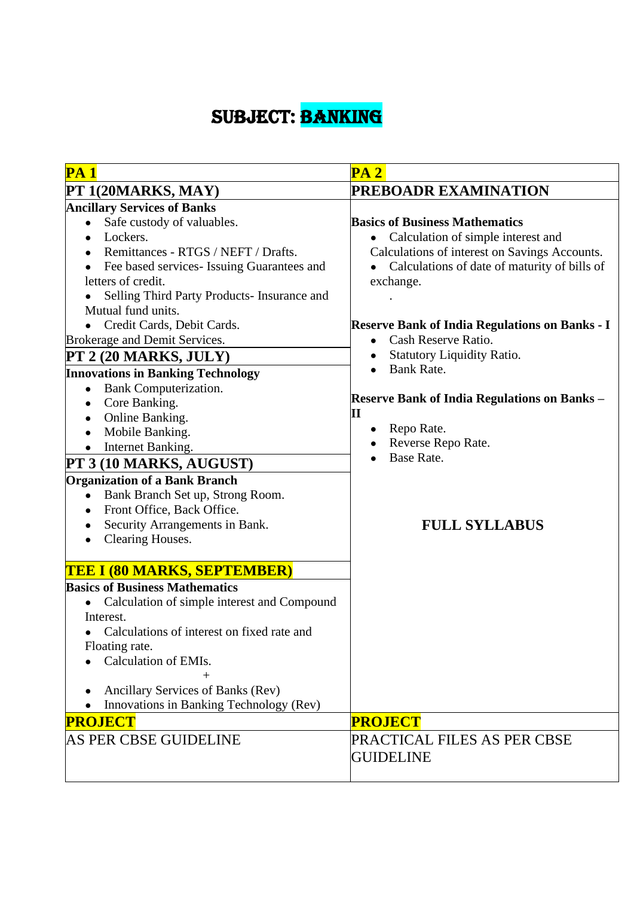# SUBJECT: BANKING

| <b>PA 1</b>                                                                                                                                                                                                                                                                                                                                                                                                                                                                                                                                                                                                                                                                                       | PA2                                                                                                                                                                                                                                                                                                                                                                                                                                                                                                      |
|---------------------------------------------------------------------------------------------------------------------------------------------------------------------------------------------------------------------------------------------------------------------------------------------------------------------------------------------------------------------------------------------------------------------------------------------------------------------------------------------------------------------------------------------------------------------------------------------------------------------------------------------------------------------------------------------------|----------------------------------------------------------------------------------------------------------------------------------------------------------------------------------------------------------------------------------------------------------------------------------------------------------------------------------------------------------------------------------------------------------------------------------------------------------------------------------------------------------|
| PT 1(20MARKS, MAY)                                                                                                                                                                                                                                                                                                                                                                                                                                                                                                                                                                                                                                                                                | PREBOADR EXAMINATION                                                                                                                                                                                                                                                                                                                                                                                                                                                                                     |
| <b>Ancillary Services of Banks</b>                                                                                                                                                                                                                                                                                                                                                                                                                                                                                                                                                                                                                                                                |                                                                                                                                                                                                                                                                                                                                                                                                                                                                                                          |
| Safe custody of valuables.<br>$\bullet$<br>Lockers.<br>Remittances - RTGS / NEFT / Drafts.<br>Fee based services- Issuing Guarantees and<br>letters of credit.<br>Selling Third Party Products- Insurance and<br>Mutual fund units.<br>Credit Cards, Debit Cards.<br>Brokerage and Demit Services.<br>PT 2 (20 MARKS, JULY)<br><b>Innovations in Banking Technology</b><br>Bank Computerization.<br>$\bullet$<br>Core Banking.<br>Online Banking.<br>Mobile Banking.<br>Internet Banking.<br>PT 3 (10 MARKS, AUGUST)<br><b>Organization of a Bank Branch</b><br>Bank Branch Set up, Strong Room.<br>$\bullet$<br>Front Office, Back Office.<br>Security Arrangements in Bank.<br>Clearing Houses. | <b>Basics of Business Mathematics</b><br>Calculation of simple interest and<br>Calculations of interest on Savings Accounts.<br>Calculations of date of maturity of bills of<br>exchange.<br><b>Reserve Bank of India Regulations on Banks - I</b><br>Cash Reserve Ratio.<br><b>Statutory Liquidity Ratio.</b><br><b>Bank Rate.</b><br><b>Reserve Bank of India Regulations on Banks -</b><br>$\mathbf{I}$<br>Repo Rate.<br>$\bullet$<br>Reverse Repo Rate.<br><b>Base Rate.</b><br><b>FULL SYLLABUS</b> |
| <b>TEE I (80 MARKS, SEPTEMBER)</b>                                                                                                                                                                                                                                                                                                                                                                                                                                                                                                                                                                                                                                                                |                                                                                                                                                                                                                                                                                                                                                                                                                                                                                                          |
| <b>Basics of Business Mathematics</b><br>Calculation of simple interest and Compound<br>Interest.<br>Calculations of interest on fixed rate and<br>Floating rate.<br>Calculation of EMIs.<br>$^{+}$<br>Ancillary Services of Banks (Rev)<br>Innovations in Banking Technology (Rev)<br><b>PROJECT</b>                                                                                                                                                                                                                                                                                                                                                                                             | <b>PROJECT</b>                                                                                                                                                                                                                                                                                                                                                                                                                                                                                           |
| AS PER CBSE GUIDELINE                                                                                                                                                                                                                                                                                                                                                                                                                                                                                                                                                                                                                                                                             | PRACTICAL FILES AS PER CBSE<br><b>GUIDELINE</b>                                                                                                                                                                                                                                                                                                                                                                                                                                                          |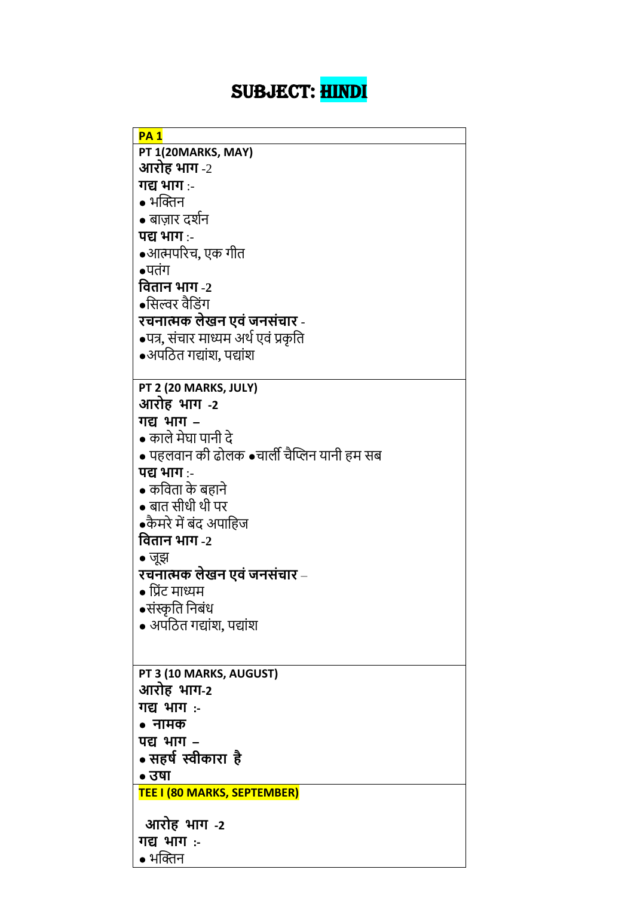# SUBJECT: HINDI

| <b>PA1</b>                                  |
|---------------------------------------------|
| PT 1(20MARKS, MAY)                          |
| आरोह भाग $\text{-}2$                        |
| गद्य भाग :-                                 |
| • भक्तिन                                    |
| • बाज़ार दर्शन                              |
| पद्य भाग :-                                 |
| ●आत्मपरिच, एक गीत                           |
| $\bullet$ पतंग                              |
| वितान भाग -2                                |
| •सिल्वर वैडिंग                              |
| रचनात्मक लेखन एवं जनसंचार -                 |
| •पत्र, संचार माध्यम अर्थ एवं प्रकृति        |
| $\bullet$ अपठित गद्यांश, पद्यांश            |
|                                             |
| PT 2 (20 MARKS, JULY)                       |
| आरोह भाग -2                                 |
| गद्य भाग -                                  |
| • काले मेघा पानी दे                         |
| • पहलवान की ढोलक •चार्ली चैप्लिन यानी हम सब |
| पद्य भाग :-                                 |
| • कविता के बहाने                            |
| • बात सीधी थी पर                            |
| ●कैमरे में बंद अपाहिज                       |
| वितान भाग -2                                |
| • जूझ                                       |
| रचनात्मक लेखन एवं जनसंचार –                 |
| • प्रिंट माध्यम                             |
| •संस्कृति निबंध                             |
| • अपठित गद्यांश, पद्यांश                    |
|                                             |
|                                             |
| PT 3 (10 MARKS, AUGUST)                     |
| आरोह भाग-2                                  |
| <u>गद्य भाग :-</u>                          |
| • नामक                                      |
| पद्य भाग -                                  |
| • सहर्ष स्वीकारा है                         |
| • उषा                                       |
| TEE I (80 MARKS, SEPTEMBER)                 |
| आरोह भाग -2                                 |
| गद्य भाग :-                                 |
| • भक्तिन                                    |
|                                             |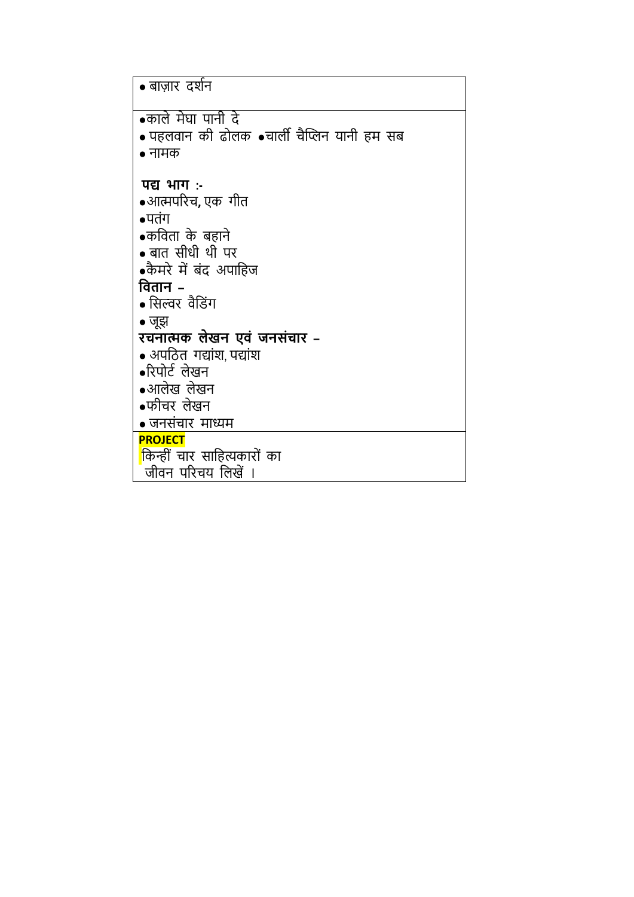| • बाज़ार दर्शन                                                    |
|-------------------------------------------------------------------|
| •काले मेघा पानी दे<br>• पहलवान की ढोलक •चार्ली चैप्लिन यानी हम सब |
| $\bullet$ नामक<br>पद्य भाग:-                                      |
| ●आत्मपरिच, एक गीत                                                 |
| $\bullet$ पतंग<br>●कविता के बहाने                                 |
| $\bullet$ बात सीधी थी पर                                          |
| •कैमरे में बंद अपाहिज<br>वितान –                                  |
| • सिल्वर वैडिंग                                                   |
| $\bullet$ जूझ<br>रचनात्मक लेखन एवं जनसंचार –                      |
| • अपठित गद्यांश पद्यांश                                           |
| $\bullet$ रिपोर्ट लेखन<br>$\bullet$ आलेख लेखन                     |
| ●फीचर लेखन                                                        |
| • जनसंचार माध्यम                                                  |
| <b>PROJECT</b><br>किन्हीं चार साहित्यकारों का                     |
| जीवन परिचय लिखें ।                                                |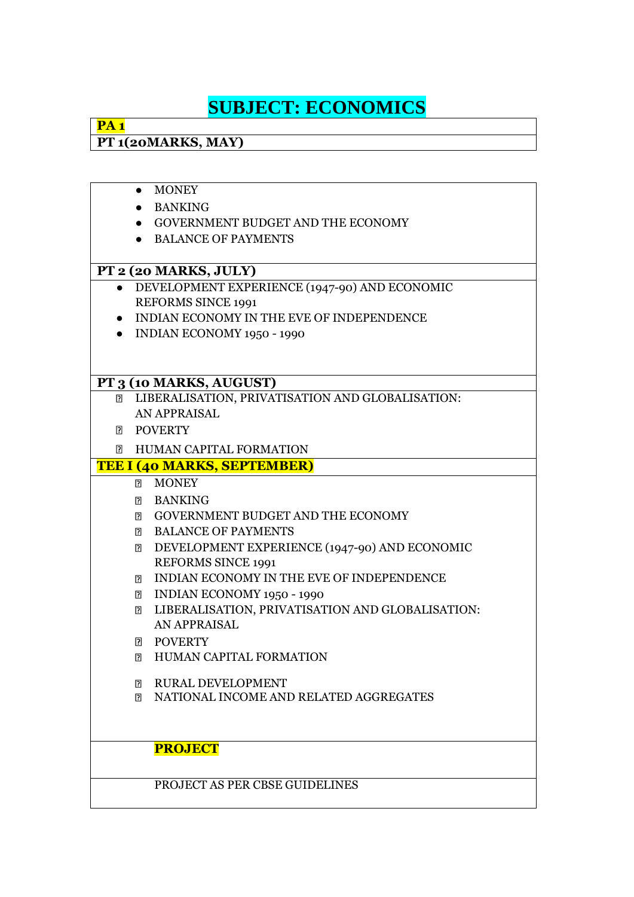# **SUBJECT: ECONOMICS**

### **PA 1 PT 1(20MARKS, MAY)**

|           | <b>MONEY</b><br>$\bullet$                               |  |
|-----------|---------------------------------------------------------|--|
|           | • BANKING                                               |  |
|           | • GOVERNMENT BUDGET AND THE ECONOMY                     |  |
|           | • BALANCE OF PAYMENTS                                   |  |
|           |                                                         |  |
|           | PT 2 (20 MARKS, JULY)                                   |  |
| $\bullet$ | DEVELOPMENT EXPERIENCE (1947-90) AND ECONOMIC           |  |
|           | <b>REFORMS SINCE 1991</b>                               |  |
| $\bullet$ | INDIAN ECONOMY IN THE EVE OF INDEPENDENCE               |  |
| $\bullet$ | <b>INDIAN ECONOMY 1950 - 1990</b>                       |  |
|           |                                                         |  |
|           |                                                         |  |
|           | PT 3 (10 MARKS, AUGUST)                                 |  |
|           | <b>EIBERALISATION, PRIVATISATION AND GLOBALISATION:</b> |  |
|           | AN APPRAISAL                                            |  |
| $\Box$    | <b>POVERTY</b>                                          |  |
| $\Box$    | HUMAN CAPITAL FORMATION                                 |  |
|           | <b>TEE I (40 MARKS, SEPTEMBER)</b>                      |  |
|           | <b>MONEY</b><br>$\mathbb{R}$                            |  |
|           | <b>BANKING</b>                                          |  |
|           | <b>E</b> GOVERNMENT BUDGET AND THE ECONOMY              |  |
|           | <b>BALANCE OF PAYMENTS</b>                              |  |
|           | DEVELOPMENT EXPERIENCE (1947-90) AND ECONOMIC<br>P.     |  |
|           | <b>REFORMS SINCE 1991</b>                               |  |
|           | INDIAN ECONOMY IN THE EVE OF INDEPENDENCE<br>7          |  |
|           | INDIAN ECONOMY 1950 - 1990<br>$\mathbf{E}$              |  |
|           | LIBERALISATION, PRIVATISATION AND GLOBALISATION:<br>[?] |  |
|           | <b>AN APPRAISAL</b>                                     |  |
|           | <b>POVERTY</b><br>R.                                    |  |
|           | <b>HUMAN CAPITAL FORMATION</b><br>2                     |  |
|           | <b>RURAL DEVELOPMENT</b><br>p.                          |  |
|           | NATIONAL INCOME AND RELATED AGGREGATES<br>?             |  |
|           |                                                         |  |
|           |                                                         |  |
|           | <b>PROJECT</b>                                          |  |
|           |                                                         |  |
|           | PROJECT AS PER CBSE GUIDELINES                          |  |
|           |                                                         |  |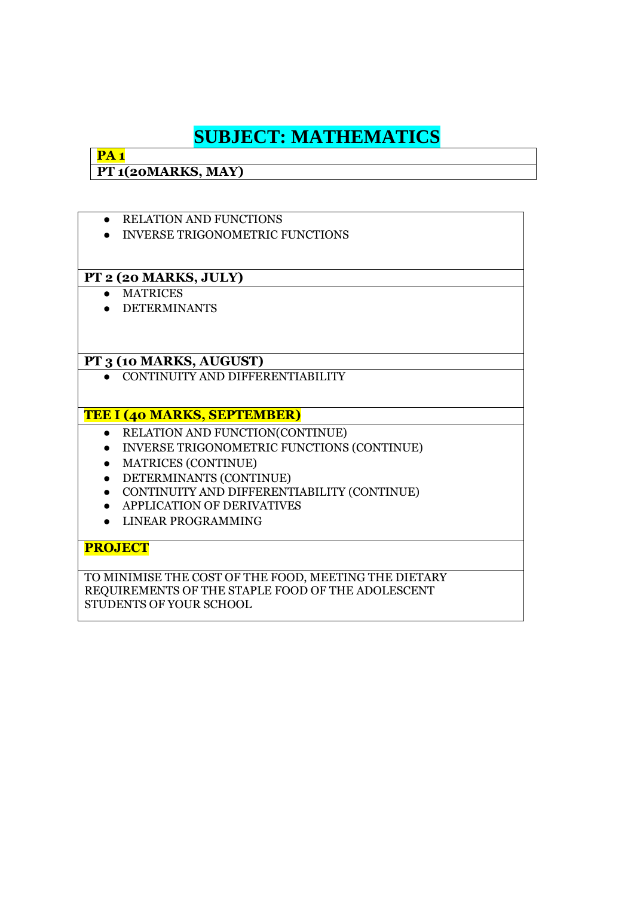## **SUBJECT: MATHEMATICS**

**PT 1(20MARKS, MAY)**

**PA 1**

● RELATION AND FUNCTIONS ● INVERSE TRIGONOMETRIC FUNCTIONS **PT 2 (20 MARKS, JULY)** ● MATRICES ● DETERMINANTS **PT 3 (10 MARKS, AUGUST)** ● CONTINUITY AND DIFFERENTIABILITY **TEE I (40 MARKS, SEPTEMBER)** ● RELATION AND FUNCTION(CONTINUE) ● INVERSE TRIGONOMETRIC FUNCTIONS (CONTINUE) ● MATRICES (CONTINUE) ● DETERMINANTS (CONTINUE) ● CONTINUITY AND DIFFERENTIABILITY (CONTINUE) ● APPLICATION OF DERIVATIVES ● LINEAR PROGRAMMING **PROJECT** TO MINIMISE THE COST OF THE FOOD, MEETING THE DIETARY REQUIREMENTS OF THE STAPLE FOOD OF THE ADOLESCENT

STUDENTS OF YOUR SCHOOL